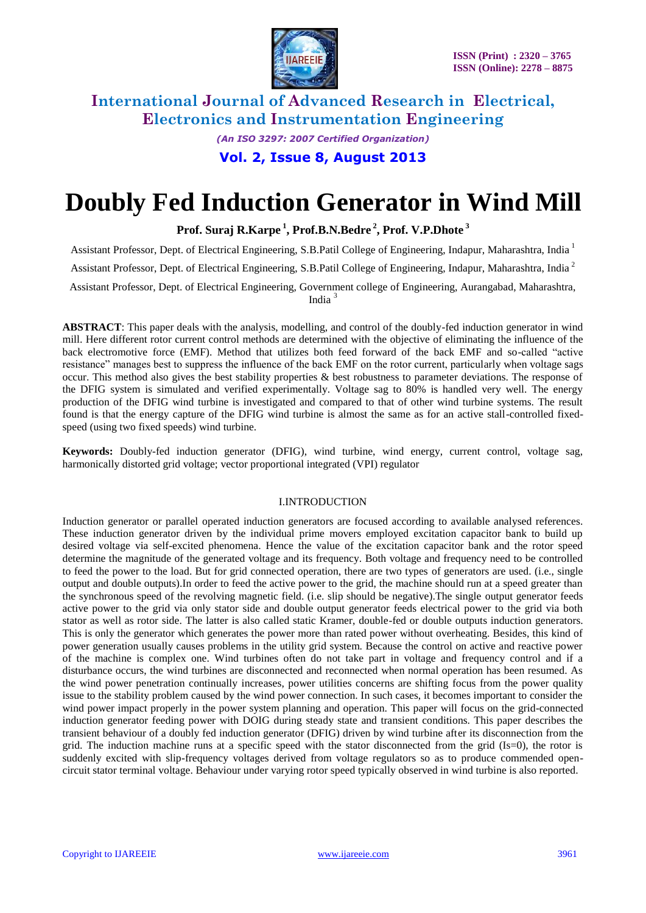

*(An ISO 3297: 2007 Certified Organization)* **Vol. 2, Issue 8, August 2013**

# **Doubly Fed Induction Generator in Wind Mill**

**Prof. Suraj R.Karpe <sup>1</sup> , Prof.B.N.Bedre <sup>2</sup> , Prof. V.P.Dhote <sup>3</sup>**

Assistant Professor, Dept. of Electrical Engineering, S.B.Patil College of Engineering, Indapur, Maharashtra, India <sup>1</sup>

Assistant Professor, Dept. of Electrical Engineering, S.B.Patil College of Engineering, Indapur, Maharashtra, India <sup>2</sup>

Assistant Professor, Dept. of Electrical Engineering, Government college of Engineering, Aurangabad, Maharashtra, India <sup>3</sup>

**ABSTRACT**: This paper deals with the analysis, modelling, and control of the doubly-fed induction generator in wind mill. Here different rotor current control methods are determined with the objective of eliminating the influence of the back electromotive force (EMF). Method that utilizes both feed forward of the back EMF and so-called "active resistance" manages best to suppress the influence of the back EMF on the rotor current, particularly when voltage sags occur. This method also gives the best stability properties & best robustness to parameter deviations. The response of the DFIG system is simulated and verified experimentally. Voltage sag to 80% is handled very well. The energy production of the DFIG wind turbine is investigated and compared to that of other wind turbine systems. The result found is that the energy capture of the DFIG wind turbine is almost the same as for an active stall-controlled fixedspeed (using two fixed speeds) wind turbine.

**Keywords:** Doubly-fed induction generator (DFIG), wind turbine, wind energy, current control, voltage sag, harmonically distorted grid voltage; vector proportional integrated (VPI) regulator

#### I.INTRODUCTION

Induction generator or parallel operated induction generators are focused according to available analysed references. These induction generator driven by the individual prime movers employed excitation capacitor bank to build up desired voltage via self-excited phenomena. Hence the value of the excitation capacitor bank and the rotor speed determine the magnitude of the generated voltage and its frequency. Both voltage and frequency need to be controlled to feed the power to the load. But for grid connected operation, there are two types of generators are used. (i.e., single output and double outputs).In order to feed the active power to the grid, the machine should run at a speed greater than the synchronous speed of the revolving magnetic field. (i.e. slip should be negative).The single output generator feeds active power to the grid via only stator side and double output generator feeds electrical power to the grid via both stator as well as rotor side. The latter is also called static Kramer, double-fed or double outputs induction generators. This is only the generator which generates the power more than rated power without overheating. Besides, this kind of power generation usually causes problems in the utility grid system. Because the control on active and reactive power of the machine is complex one. Wind turbines often do not take part in voltage and frequency control and if a disturbance occurs, the wind turbines are disconnected and reconnected when normal operation has been resumed. As the wind power penetration continually increases, power utilities concerns are shifting focus from the power quality issue to the stability problem caused by the wind power connection. In such cases, it becomes important to consider the wind power impact properly in the power system planning and operation. This paper will focus on the grid-connected induction generator feeding power with DOIG during steady state and transient conditions. This paper describes the transient behaviour of a doubly fed induction generator (DFIG) driven by wind turbine after its disconnection from the grid. The induction machine runs at a specific speed with the stator disconnected from the grid (Is=0), the rotor is suddenly excited with slip-frequency voltages derived from voltage regulators so as to produce commended opencircuit stator terminal voltage. Behaviour under varying rotor speed typically observed in wind turbine is also reported.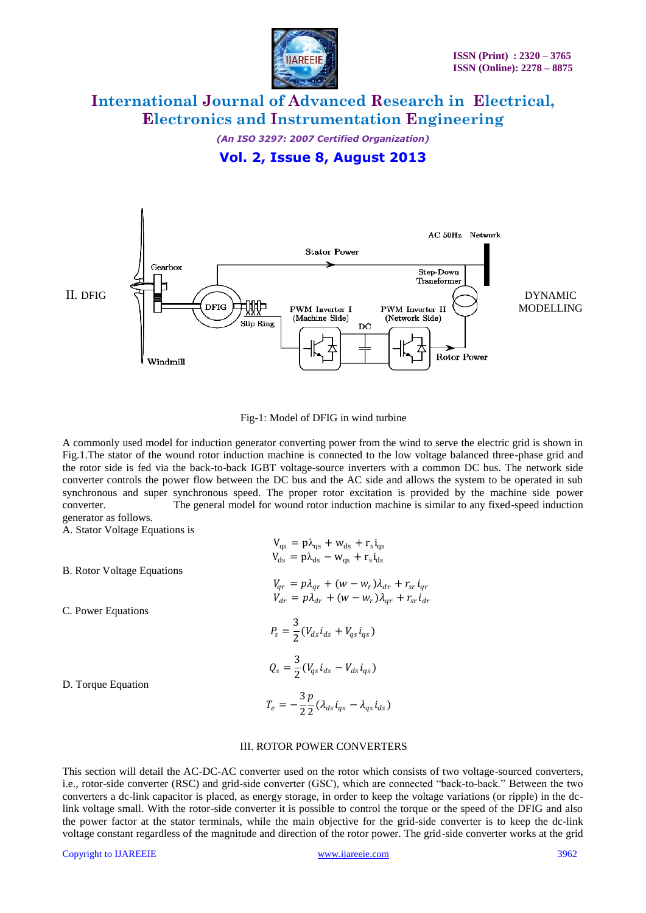

*(An ISO 3297: 2007 Certified Organization)*

### **Vol. 2, Issue 8, August 2013**



#### Fig-1: Model of DFIG in wind turbine

A commonly used model for induction generator converting power from the wind to serve the electric grid is shown in Fig.1.The stator of the wound rotor induction machine is connected to the low voltage balanced three-phase grid and the rotor side is fed via the back-to-back IGBT voltage-source inverters with a common DC bus. The network side converter controls the power flow between the DC bus and the AC side and allows the system to be operated in sub synchronous and super synchronous speed. The proper rotor excitation is provided by the machine side power converter. The general model for wound rotor induction machine is similar to any fixed-speed induction generator as follows.

A. Stator Voltage Equations is

| <b>B.</b> Rotor Voltage Equations | $V_{\text{qs}} = p\lambda_{\text{qs}} + w_{\text{ds}} + r_{\text{s}}i_{\text{qs}}$<br>$V_{ds} = p\lambda_{ds} - w_{as} + r_s i_{ds}$ |
|-----------------------------------|--------------------------------------------------------------------------------------------------------------------------------------|
|                                   | $V_{qr} = p\lambda_{qr} + (w - w_r)\lambda_{dr} + r_{sr}i_{qr}$<br>$V_{dr} = p\lambda_{dr} + (w - w_r)\lambda_{ar} + r_{sr}i_{dr}$   |
| C. Power Equations                |                                                                                                                                      |
|                                   | $P_s = \frac{3}{2}(V_{ds} i_{ds} + V_{qs} i_{qs})$                                                                                   |
| D. Torque Equation                | $Q_s = \frac{3}{2} (V_{qs} i_{ds} - V_{ds} i_{qs})$                                                                                  |
|                                   | $T_e = -\frac{3}{2} \frac{p}{2} (\lambda_{ds} i_{qs} - \lambda_{qs} i_{ds})$                                                         |
|                                   |                                                                                                                                      |

#### III. ROTOR POWER CONVERTERS

This section will detail the AC-DC-AC converter used on the rotor which consists of two voltage-sourced converters, i.e., rotor-side converter (RSC) and grid-side converter (GSC), which are connected "back-to-back." Between the two converters a dc-link capacitor is placed, as energy storage, in order to keep the voltage variations (or ripple) in the dclink voltage small. With the rotor-side converter it is possible to control the torque or the speed of the DFIG and also the power factor at the stator terminals, while the main objective for the grid-side converter is to keep the dc-link voltage constant regardless of the magnitude and direction of the rotor power. The grid-side converter works at the grid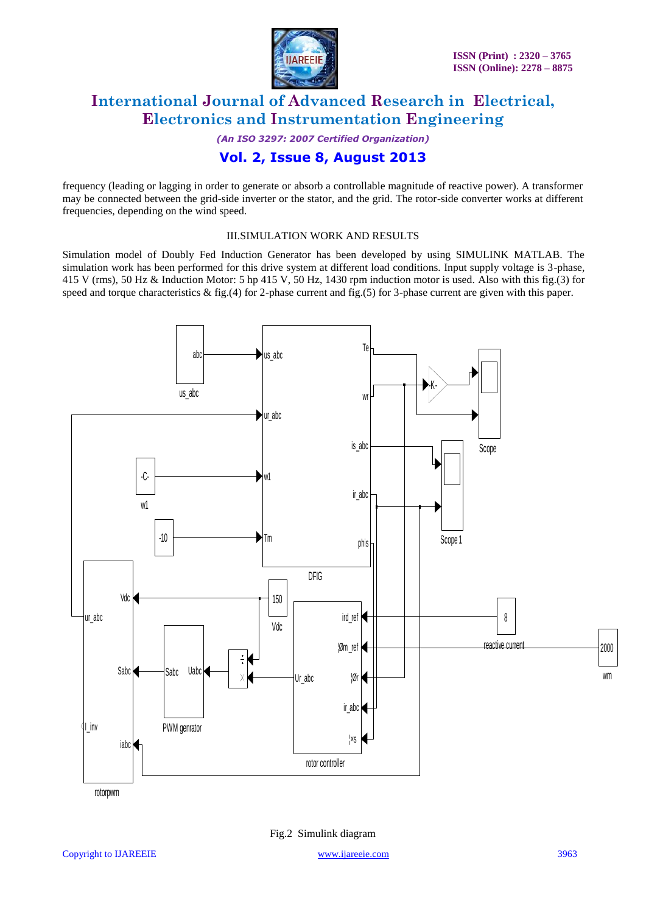

*(An ISO 3297: 2007 Certified Organization)* **Vol. 2, Issue 8, August 2013**

frequency (leading or lagging in order to generate or absorb a controllable magnitude of reactive power). A transformer may be connected between the grid-side inverter or the stator, and the grid. The rotor-side converter works at different frequencies, depending on the wind speed.

#### III.SIMULATION WORK AND RESULTS

Simulation model of Doubly Fed Induction Generator has been developed by using SIMULINK MATLAB. The simulation work has been performed for this drive system at different load conditions. Input supply voltage is 3-phase, 415 V (rms), 50 Hz & Induction Motor: 5 hp 415 V, 50 Hz, 1430 rpm induction motor is used. Also with this fig.(3) for



Fig.2 Simulink diagram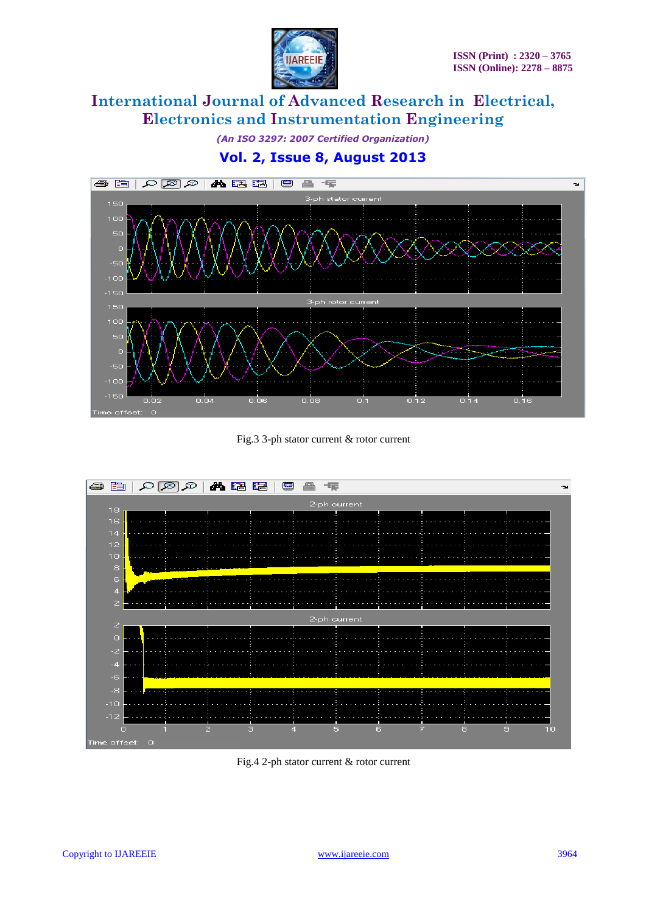

*(An ISO 3297: 2007 Certified Organization)*

### **Vol. 2, Issue 8, August 2013**



Fig.3 3-ph stator current & rotor current



Fig.4 2-ph stator current & rotor current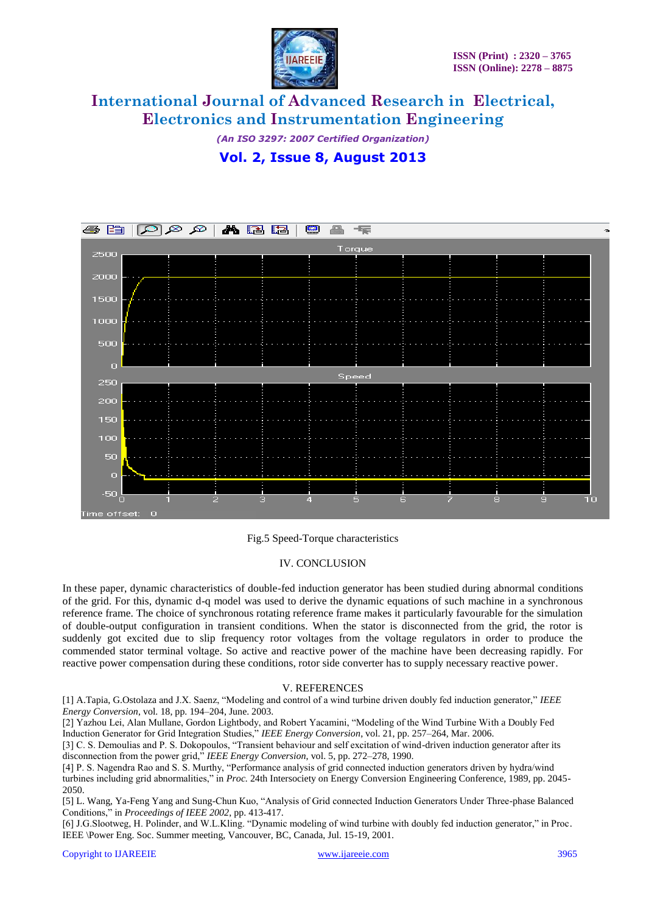

*(An ISO 3297: 2007 Certified Organization)* **Vol. 2, Issue 8, August 2013**



#### Fig.5 Speed-Torque characteristics

#### IV. CONCLUSION

In these paper, dynamic characteristics of double-fed induction generator has been studied during abnormal conditions of the grid. For this, dynamic d-q model was used to derive the dynamic equations of such machine in a synchronous reference frame. The choice of synchronous rotating reference frame makes it particularly favourable for the simulation of double-output configuration in transient conditions. When the stator is disconnected from the grid, the rotor is suddenly got excited due to slip frequency rotor voltages from the voltage regulators in order to produce the commended stator terminal voltage. So active and reactive power of the machine have been decreasing rapidly. For reactive power compensation during these conditions, rotor side converter has to supply necessary reactive power.

#### V. REFERENCES

[1] A.Tapia, G.Ostolaza and J.X. Saenz, "Modeling and control of a wind turbine driven doubly fed induction generator," *IEEE Energy Conversion*, vol. 18, pp. 194–204, June. 2003.

[2] Yazhou Lei, Alan Mullane, Gordon Lightbody, and Robert Yacamini, "Modeling of the Wind Turbine With a Doubly Fed Induction Generator for Grid Integration Studies," *IEEE Energy Conversion*, vol. 21, pp. 257–264, Mar. 2006.

[3] C. S. Demoulias and P. S. Dokopoulos, "Transient behaviour and self excitation of wind-driven induction generator after its disconnection from the power grid," *IEEE Energy Conversion*, vol. 5, pp. 272–278, 1990.

[4] P. S. Nagendra Rao and S. S. Murthy, "Performance analysis of grid connected induction generators driven by hydra/wind turbines including grid abnormalities," in *Proc.* 24th Intersociety on Energy Conversion Engineering Conference, 1989, pp. 2045- 2050.

[5] L. Wang, Ya-Feng Yang and Sung-Chun Kuo, "Analysis of Grid connected Induction Generators Under Three-phase Balanced Conditions," in *Proceedings of IEEE 2002*, pp. 413-417.

[6] J.G.Slootweg, H. Polinder, and W.L.Kling. "Dynamic modeling of wind turbine with doubly fed induction generator," in Proc. IEEE \Power Eng. Soc. Summer meeting, Vancouver, BC, Canada, Jul. 15-19, 2001.